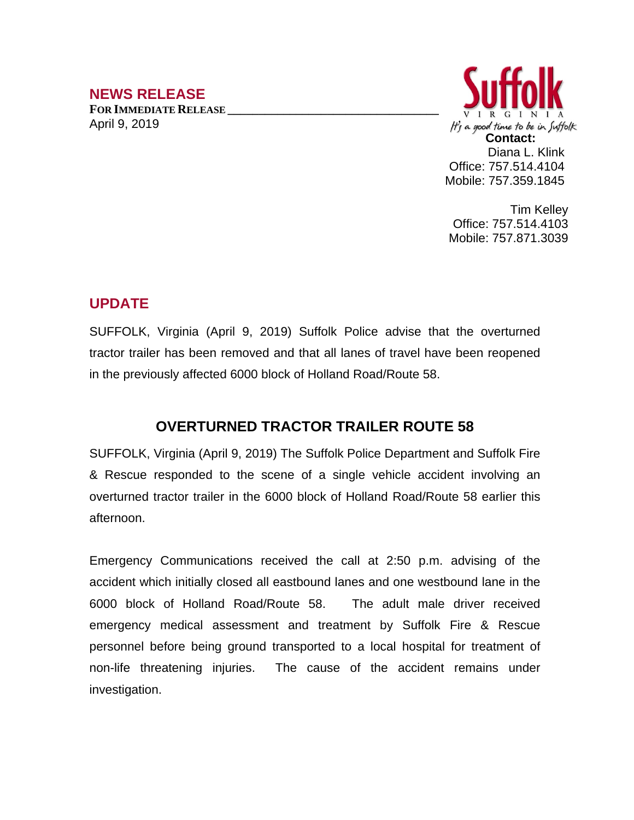## **NEWS RELEASE**

**FOR IMMEDIATE RELEASE \_\_\_\_\_\_\_\_\_\_\_\_\_\_\_\_\_\_\_\_\_\_\_\_\_\_\_\_\_\_\_\_\_\_** April 9, 2019



Tim Kelley Office: 757.514.4103 Mobile: 757.871.3039

## **UPDATE**

SUFFOLK, Virginia (April 9, 2019) Suffolk Police advise that the overturned tractor trailer has been removed and that all lanes of travel have been reopened in the previously affected 6000 block of Holland Road/Route 58.

## **OVERTURNED TRACTOR TRAILER ROUTE 58**

SUFFOLK, Virginia (April 9, 2019) The Suffolk Police Department and Suffolk Fire & Rescue responded to the scene of a single vehicle accident involving an overturned tractor trailer in the 6000 block of Holland Road/Route 58 earlier this afternoon.

Emergency Communications received the call at 2:50 p.m. advising of the accident which initially closed all eastbound lanes and one westbound lane in the 6000 block of Holland Road/Route 58. The adult male driver received emergency medical assessment and treatment by Suffolk Fire & Rescue personnel before being ground transported to a local hospital for treatment of non-life threatening injuries. The cause of the accident remains under investigation.